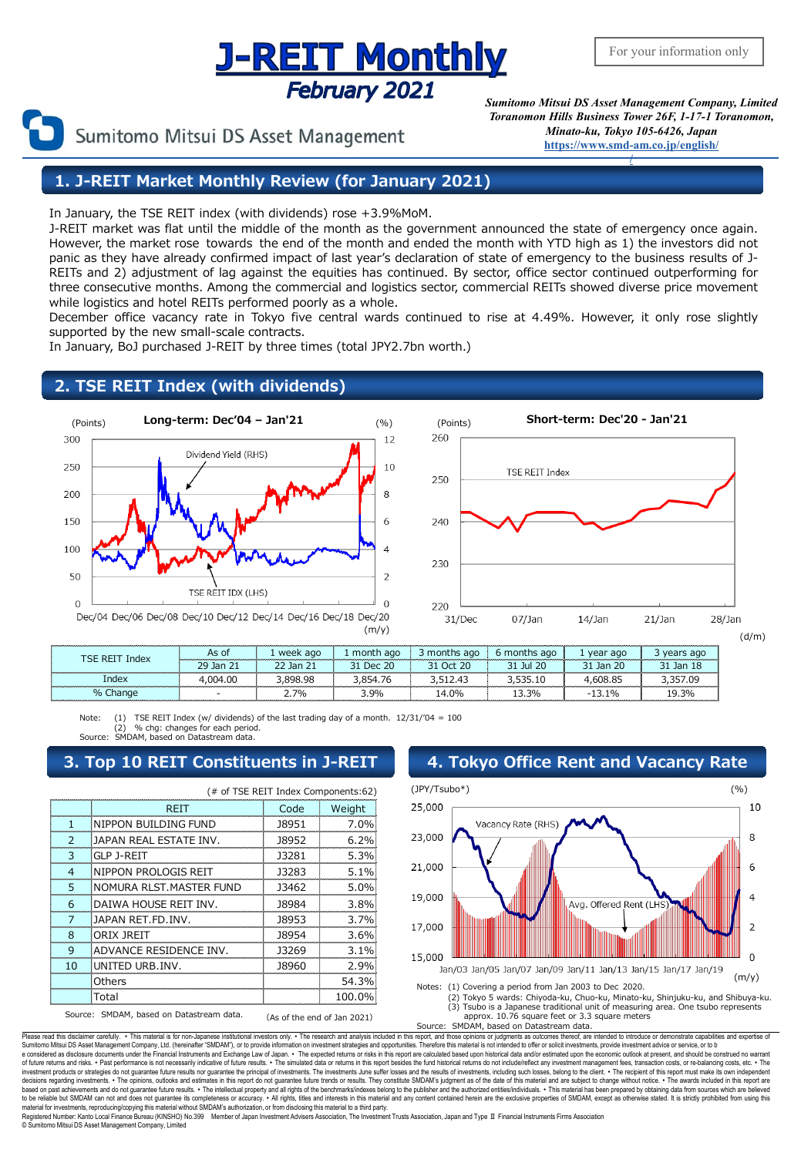## **J-REIT Monthly February 2021**

Sumitomo Mitsui DS Asset Management

*Sumitomo Mitsui DS Asset Management Company, Limited Toranomon Hills Business Tower 26F, 1-17-1 Toranomon, Minato-ku, Tokyo 105-6426, Japan* **[https://www.smd-am.co.jp/english/](http://www.smam-jp.com/english/)**

**[/](http://www.smam-jp.com/english/)**

**1. J-REIT Market Monthly Review (for January 2021)**

In January, the TSE REIT index (with dividends) rose +3.9%MoM.

J-REIT market was flat until the middle of the month as the government announced the state of emergency once again. However, the market rose towards the end of the month and ended the month with YTD high as 1) the investors did not panic as they have already confirmed impact of last year's declaration of state of emergency to the business results of J-REITs and 2) adjustment of lag against the equities has continued. By sector, office sector continued outperforming for three consecutive months. Among the commercial and logistics sector, commercial REITs showed diverse price movement while logistics and hotel REITs performed poorly as a whole.

December office vacancy rate in Tokyo five central wards continued to rise at 4.49%. However, it only rose slightly supported by the new small-scale contracts.

In January, BoJ purchased J-REIT by three times (total JPY2.7bn worth.)

### **2. TSE REIT Index (with dividends)**





| Index<br>ISE REI       | As of                    | week ago                                                                                                                    | month ago                                                                                                                                                                                                                              | months<br>ago                                                                                                                                                                                                                                 | ths ago:<br>ma | vear ago    |        |
|------------------------|--------------------------|-----------------------------------------------------------------------------------------------------------------------------|----------------------------------------------------------------------------------------------------------------------------------------------------------------------------------------------------------------------------------------|-----------------------------------------------------------------------------------------------------------------------------------------------------------------------------------------------------------------------------------------------|----------------|-------------|--------|
|                        | -Jan<br>29<br>21         | 1an.                                                                                                                        | 20<br>ים ה                                                                                                                                                                                                                             | 20<br>ገረተ                                                                                                                                                                                                                                     | Ш              | Jan.<br>ZG. | lan    |
| Inde×                  | 04.00                    | 9۶.                                                                                                                         |                                                                                                                                                                                                                                        |                                                                                                                                                                                                                                               |                |             |        |
| $\frac{9}{6}$<br>nange | $\overline{\phantom{0}}$ | 70/0<br><u>a matematika kwa matematika kwa matematika kwa matematika kwa matematika kwa matematika kwa matematika kwa m</u> | 3.9%<br>and the contract of the contract of the contract of the contract of the contract of the contract of the contract of the contract of the contract of the contract of the contract of the contract of the contract of the contra | 14.0%<br><u>in the contract of the contract of the contract of the contract of the contract of the contract of the contract of the contract of the contract of the contract of the contract of the contract of the contract of the contra</u> | 13.3%          | 10/         | . 4.3% |

Note: (1) TSE REIT Index (w/ dividends) of the last trading day of a month.  $12/31/04 = 100$ % chg: changes for each period. Source: SMDAM, based on Datastream data.

## **3. Top 10 REIT Constituents in J-REIT 4. Tokyo Office Rent and Vacancy Rate**

| (# of TSE REIT Index Components:62)                                     |                          |       |         |  |  |
|-------------------------------------------------------------------------|--------------------------|-------|---------|--|--|
|                                                                         | <b>RFIT</b>              | Code  | Weight  |  |  |
| 1                                                                       | NIPPON BUILDING FUND     | 18951 | 7.0%    |  |  |
| $\mathcal{P}$                                                           | JAPAN REAL ESTATE INV.   | 18952 | 6.2%    |  |  |
| 3                                                                       | GLP J-REIT               | 13281 | 5.3%    |  |  |
| $\overline{4}$                                                          | NIPPON PROLOGIS REIT     | 13283 | 5.1%    |  |  |
| 5                                                                       | NOMURA RLST. MASTER FUND | 13462 | 5.0%    |  |  |
| 6                                                                       | DAIWA HOUSE REIT INV.    | 18984 | 3.8%    |  |  |
| 7                                                                       | JAPAN RET.FD.INV.        | 18953 | 3.7%    |  |  |
| 8                                                                       | ORIX IRFIT               | 18954 | 3.6%    |  |  |
| q                                                                       | ADVANCE RESIDENCE INV.   | 13269 | $3.1\%$ |  |  |
| 10                                                                      | UNITED URB. INV.         | 18960 | 2.9%    |  |  |
|                                                                         | Others                   |       | 54.3%   |  |  |
|                                                                         | Total                    |       | 100.0%  |  |  |
| Source: SMDAM, based on Datastream data.<br>(As of the end of Jan 2021) |                          |       |         |  |  |



(3) Tsubo is a Japanese traditional unit of measuring area. One tsubo represents approx. 10.76 square feet or 3.3 square meters

Source: SMDAM, based on Datastream data.

Please read this disclaimer carefully. • This material is for non-Japanese institutional investors only. • The research and analysis included in this report, and those opinions or judgments as outcomes thereof, are intende e considered as disclosure documents under the Financial Instruments and Exchange Law of Japan. • The expected returns or risks in this report are calculated based upon historical data and/or estimated upon the economic ou decisions regarding investments. • The opinions, outlooks and estimates in this report do not guarantee future trends or results. They constitute SMDAM's judgment as of the date of this material and are subject to change material for investments, reproducing one introduce the completeness or accuracy. All rights, titles and interests in this material to a third party.<br>In the reliable but SMDAM can not and does not guarantee its completenes Registered Number: Kanto Local Finance Bureau (KINSHO) No.399 Member of Japan Investment Advisers Association, The Investment Trusts Association, Japan and Type Ⅱ Financial Instruments Firms Association © Sumitomo Mitsui DS Asset Management Company, Limited